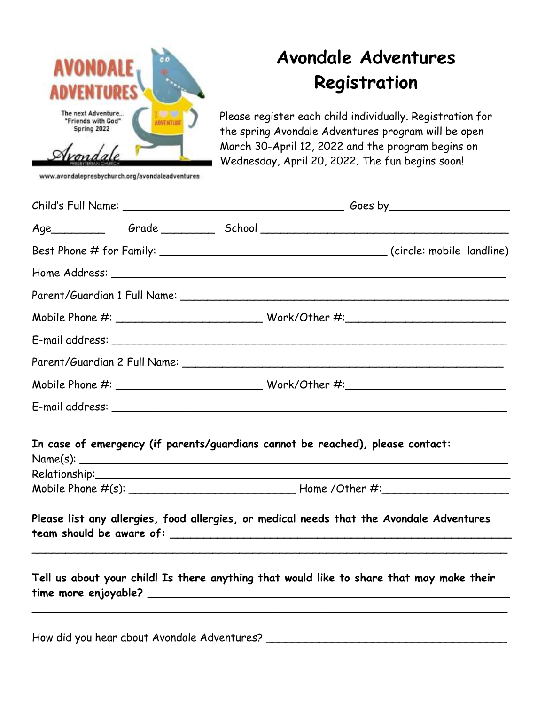

www.avondalepresbychurch.org/avondaleadventures

## **Avondale Adventures Registration**

Please register each child individually. Registration for the spring Avondale Adventures program will be open March 30-April 12, 2022 and the program begins on Wednesday, April 20, 2022. The fun begins soon!

|  | $\textbf{Mobile Phone \#:}\footnotesize\hspace{1.5cm} \textbf{\texttt{Work/Other \#:}} \footnotesize\hspace{1.5cm} \textbf{\texttt{Work/Other \#:}} \footnotesize\hspace{1.5cm} \textbf{\texttt{Matrix}} \footnotesize$ |
|--|-------------------------------------------------------------------------------------------------------------------------------------------------------------------------------------------------------------------------|
|  |                                                                                                                                                                                                                         |
|  |                                                                                                                                                                                                                         |
|  |                                                                                                                                                                                                                         |
|  |                                                                                                                                                                                                                         |
|  | In case of emergency (if parents/guardians cannot be reached), please contact:<br>$Name(s):$ $\qquad \qquad$                                                                                                            |
|  |                                                                                                                                                                                                                         |
|  |                                                                                                                                                                                                                         |
|  | Please list any allergies, food allergies, or medical needs that the Avondale Adventures                                                                                                                                |
|  | Tell us about your child! Is there anything that would like to share that may make their                                                                                                                                |

How did you hear about Avondale Adventures?